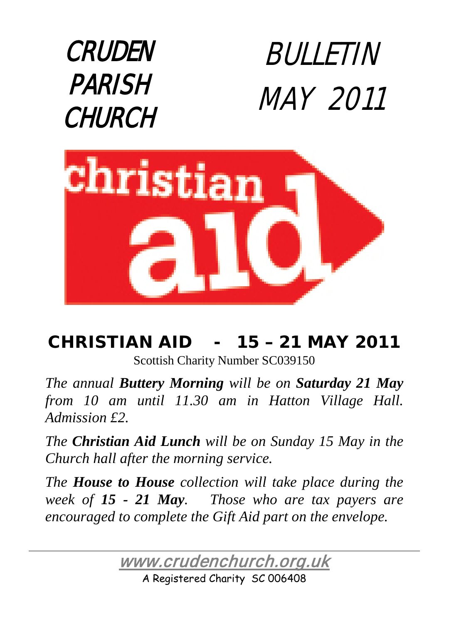



# CHRISTIAN AID - 15 – 21 MAY 2011

Scottish Charity Number SC039150

*The annual Buttery Morning will be on Saturday 21 May from 10 am until 11.30 am in Hatton Village Hall. Admission £2.* 

*The Christian Aid Lunch will be on Sunday 15 May in the Church hall after the morning service.*

*The House to House collection will take place during the week of 15 - 21 May. Those who are tax payers are encouraged to complete the Gift Aid part on the envelope.*

[www.crudenchurch.org.uk](http://www.crudenchurch.org.uk/) 

A Registered Charity SC 006408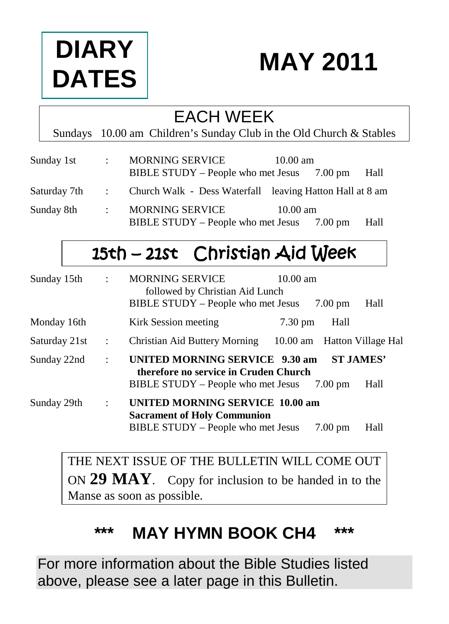

# **MAY 2011**

### EACH WEEK

Sundays 10.00 am Children's Sunday Club in the Old Church & Stables

| Sunday 1st   | $\mathbb{Z}^{\mathbb{Z}}$ | <b>MORNING SERVICE</b><br>BIBLE STUDY – People who met Jesus $7.00 \text{ pm}$ | $10.00 \text{ am}$ |         | Hall |
|--------------|---------------------------|--------------------------------------------------------------------------------|--------------------|---------|------|
| Saturday 7th |                           | : Church Walk - Dess Waterfall leaving Hatton Hall at 8 am                     |                    |         |      |
| Sunday 8th   | $\mathbb{R}^{\mathbb{Z}}$ | <b>MORNING SERVICE</b><br>BIBLE STUDY – People who met Jesus                   | $10.00 \text{ am}$ | 7.00 pm | Hall |

# 15th – 21st Christian Aid Week

| Sunday 15th   | $\ddot{\phantom{a}}$ | <b>MORNING SERVICE</b><br>$10.00$ am<br>followed by Christian Aid Lunch<br>BIBLE STUDY - People who met Jesus      | Hall<br>$7.00 \text{ pm}$                     |
|---------------|----------------------|--------------------------------------------------------------------------------------------------------------------|-----------------------------------------------|
| Monday 16th   |                      | Kirk Session meeting<br>$7.30 \text{ pm}$                                                                          | Hall                                          |
| Saturday 21st | $\ddot{\phantom{a}}$ | Christian Aid Buttery Morning                                                                                      | 10.00 am Hatton Village Hal                   |
| Sunday 22nd   | $\ddot{\phantom{a}}$ | UNITED MORNING SERVICE 9.30 am<br>therefore no service in Cruden Church<br>BIBLE STUDY – People who met Jesus      | <b>ST JAMES'</b><br>Hall<br>$7.00 \text{ pm}$ |
| Sunday 29th   | $\ddot{\phantom{a}}$ | <b>UNITED MORNING SERVICE 10.00 am</b><br><b>Sacrament of Holy Communion</b><br>BIBLE STUDY - People who met Jesus | Hall<br>$7.00 \text{ pm}$                     |

THE NEXT ISSUE OF THE BULLETIN WILL COME OUT ON **29 MAY**. Copy for inclusion to be handed in to the Manse as soon as possible.

## **\*\*\* MAY HYMN BOOK CH4 \*\*\***

For more information about the Bible Studies listed above, please see a later page in this Bulletin.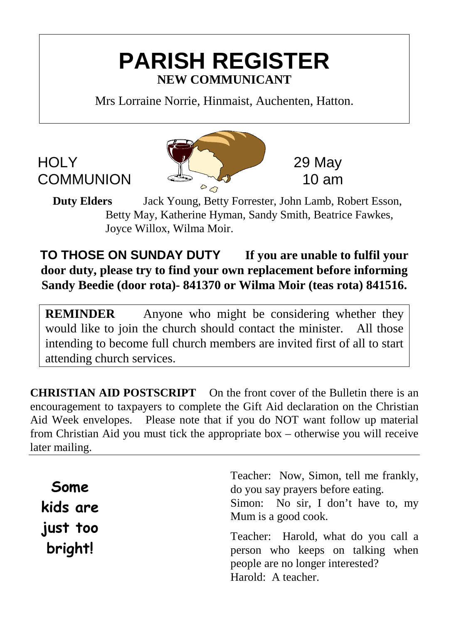## **PARISH REGISTER NEW COMMUNICANT**

Mrs Lorraine Norrie, Hinmaist, Auchenten, Hatton.



**Duty Elders** Jack Young, Betty Forrester, John Lamb, Robert Esson, Betty May, Katherine Hyman, Sandy Smith, Beatrice Fawkes, Joyce Willox, Wilma Moir.

**TO THOSE ON SUNDAY DUTY If you are unable to fulfil your door duty, please try to find your own replacement before informing Sandy Beedie (door rota)- 841370 or Wilma Moir (teas rota) 841516.**

**REMINDER** Anyone who might be considering whether they would like to join the church should contact the minister. All those intending to become full church members are invited first of all to start attending church services.

**CHRISTIAN AID POSTSCRIPT** On the front cover of the Bulletin there is an encouragement to taxpayers to complete the Gift Aid declaration on the Christian Aid Week envelopes. Please note that if you do NOT want follow up material from Christian Aid you must tick the appropriate box – otherwise you will receive later mailing.

| Some<br>kids are    | Teacher: Now, Simon, tell me frankly,<br>do you say prayers before eating.<br>Simon: No sir, I don't have to, my<br>Mum is a good cook. |  |  |
|---------------------|-----------------------------------------------------------------------------------------------------------------------------------------|--|--|
| just too<br>bright! | Teacher: Harold, what do you call a<br>person who keeps on talking when<br>people are no longer interested?<br>Harold: A teacher.       |  |  |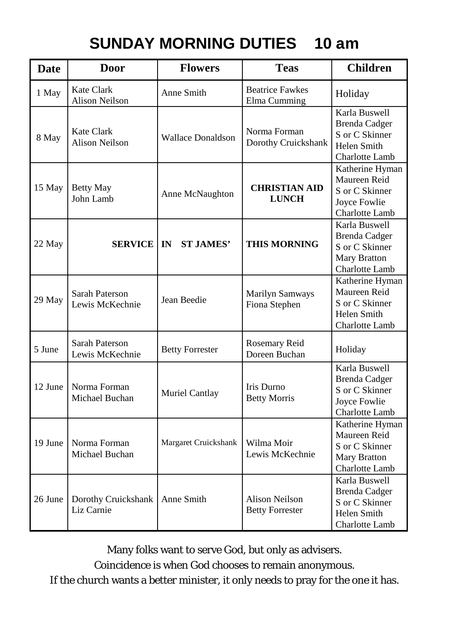### **SUNDAY MORNING DUTIES 10 am**

| <b>Date</b> | <b>Door</b>                         | <b>Flowers</b>           | <b>Teas</b>                              | <b>Children</b>                                                                           |
|-------------|-------------------------------------|--------------------------|------------------------------------------|-------------------------------------------------------------------------------------------|
| 1 May       | Kate Clark<br>Alison Neilson        | Anne Smith               | <b>Beatrice Fawkes</b><br>Elma Cumming   | Holiday                                                                                   |
| 8 May       | Kate Clark<br><b>Alison Neilson</b> | <b>Wallace Donaldson</b> | Norma Forman<br>Dorothy Cruickshank      | Karla Buswell<br><b>Brenda Cadger</b><br>S or C Skinner<br>Helen Smith<br>Charlotte Lamb  |
| 15 May      | <b>Betty May</b><br>John Lamb       | Anne McNaughton          | <b>CHRISTIAN AID</b><br><b>LUNCH</b>     | Katherine Hyman<br>Maureen Reid<br>S or C Skinner<br>Joyce Fowlie<br>Charlotte Lamb       |
| 22 May      | <b>SERVICE   IN</b>                 | <b>ST JAMES'</b>         | <b>THIS MORNING</b>                      | Karla Buswell<br><b>Brenda Cadger</b><br>S or C Skinner<br>Mary Bratton<br>Charlotte Lamb |
| 29 May      | Sarah Paterson<br>Lewis McKechnie   | Jean Beedie              | <b>Marilyn Samways</b><br>Fiona Stephen  | Katherine Hyman<br>Maureen Reid<br>S or C Skinner<br>Helen Smith<br>Charlotte Lamb        |
| 5 June      | Sarah Paterson<br>Lewis McKechnie   | <b>Betty Forrester</b>   | Rosemary Reid<br>Doreen Buchan           | Holiday                                                                                   |
| 12 June     | Norma Forman<br>Michael Buchan      | Muriel Cantlay           | Iris Durno<br><b>Betty Morris</b>        | Karla Buswell<br><b>Brenda</b> Cadger<br>S or C Skinner<br>Joyce Fowlie<br>Charlotte Lamb |
| 19 June     | Norma Forman<br>Michael Buchan      | Margaret Cruickshank     | Wilma Moir<br>Lewis McKechnie            | Katherine Hyman<br>Maureen Reid<br>S or C Skinner<br>Mary Bratton<br>Charlotte Lamb       |
| 26 June     | Dorothy Cruickshank<br>Liz Carnie   | Anne Smith               | Alison Neilson<br><b>Betty Forrester</b> | Karla Buswell<br><b>Brenda Cadger</b><br>S or C Skinner<br>Helen Smith<br>Charlotte Lamb  |

Many folks want to serve God, but only as advisers.

Coincidence is when God chooses to remain anonymous.

If the church wants a better minister, it only needs to pray for the one it has.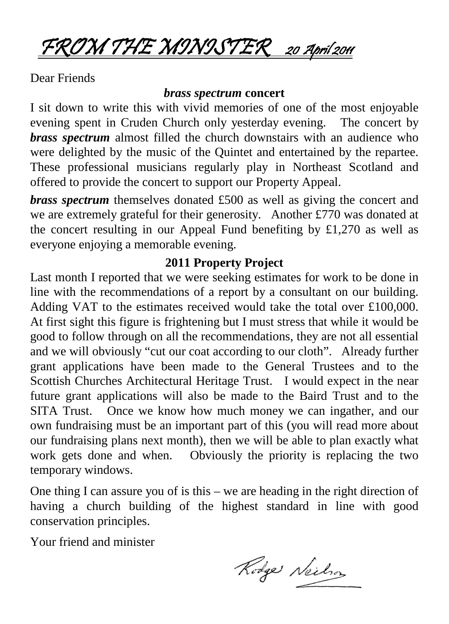FROM THE MINISTER 20 April 2011

Dear Friends

#### *brass spectrum* **concert**

I sit down to write this with vivid memories of one of the most enjoyable evening spent in Cruden Church only yesterday evening. The concert by *brass spectrum* almost filled the church downstairs with an audience who were delighted by the music of the Quintet and entertained by the repartee. These professional musicians regularly play in Northeast Scotland and offered to provide the concert to support our Property Appeal.

*brass spectrum* themselves donated £500 as well as giving the concert and we are extremely grateful for their generosity. Another £770 was donated at the concert resulting in our Appeal Fund benefiting by £1,270 as well as everyone enjoying a memorable evening.

#### **2011 Property Project**

Last month I reported that we were seeking estimates for work to be done in line with the recommendations of a report by a consultant on our building. Adding VAT to the estimates received would take the total over £100,000. At first sight this figure is frightening but I must stress that while it would be good to follow through on all the recommendations, they are not all essential and we will obviously "cut our coat according to our cloth". Already further grant applications have been made to the General Trustees and to the Scottish Churches Architectural Heritage Trust. I would expect in the near future grant applications will also be made to the Baird Trust and to the SITA Trust. Once we know how much money we can ingather, and our own fundraising must be an important part of this (you will read more about our fundraising plans next month), then we will be able to plan exactly what work gets done and when. Obviously the priority is replacing the two temporary windows.

One thing I can assure you of is this – we are heading in the right direction of having a church building of the highest standard in line with good conservation principles.

Your friend and minister

Rodge Neilson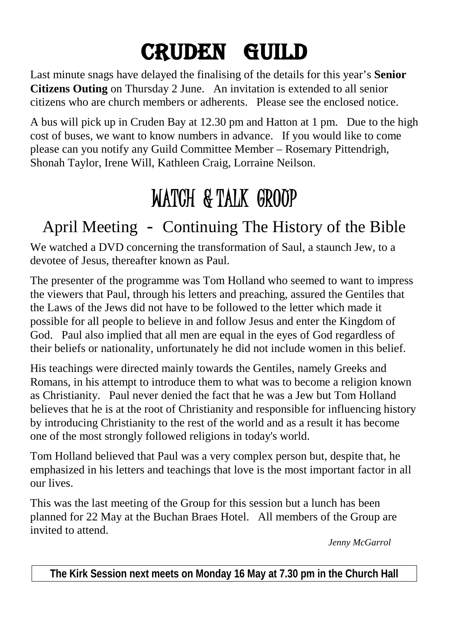# CRUDEN GUILD

Last minute snags have delayed the finalising of the details for this year's **Senior Citizens Outing** on Thursday 2 June. An invitation is extended to all senior citizens who are church members or adherents. Please see the enclosed notice.

A bus will pick up in Cruden Bay at 12.30 pm and Hatton at 1 pm. Due to the high cost of buses, we want to know numbers in advance. If you would like to come please can you notify any Guild Committee Member – Rosemary Pittendrigh, Shonah Taylor, Irene Will, Kathleen Craig, Lorraine Neilson.

# WATCH & TALK GROOP

# April Meeting - Continuing The History of the Bible

We watched a DVD concerning the transformation of Saul, a staunch Jew, to a devotee of Jesus, thereafter known as Paul.

The presenter of the programme was Tom Holland who seemed to want to impress the viewers that Paul, through his letters and preaching, assured the Gentiles that the Laws of the Jews did not have to be followed to the letter which made it possible for all people to believe in and follow Jesus and enter the Kingdom of God. Paul also implied that all men are equal in the eyes of God regardless of their beliefs or nationality, unfortunately he did not include women in this belief.

His teachings were directed mainly towards the Gentiles, namely Greeks and Romans, in his attempt to introduce them to what was to become a religion known as Christianity. Paul never denied the fact that he was a Jew but Tom Holland believes that he is at the root of Christianity and responsible for influencing history by introducing Christianity to the rest of the world and as a result it has become one of the most strongly followed religions in today's world.

Tom Holland believed that Paul was a very complex person but, despite that, he emphasized in his letters and teachings that love is the most important factor in all our lives.

This was the last meeting of the Group for this session but a lunch has been planned for 22 May at the Buchan Braes Hotel. All members of the Group are invited to attend.

 *Jenny McGarrol*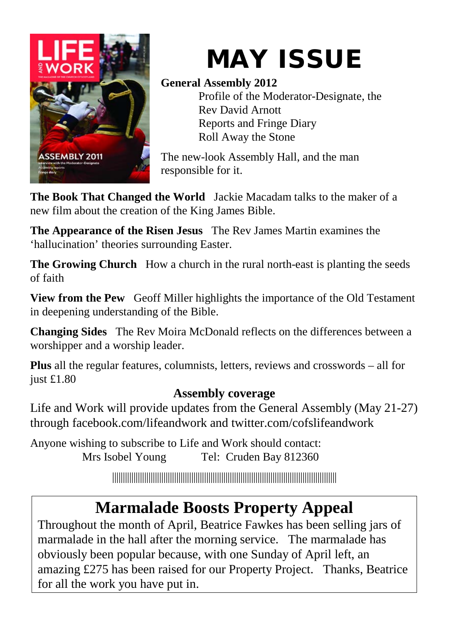

# MAY ISSUE

### **General Assembly 2012**

Profile of the Moderator-Designate, the Rev David Arnott Reports and Fringe Diary Roll Away the Stone

The new-look Assembly Hall, and the man responsible for it.

**The Book That Changed the World** Jackie Macadam talks to the maker of a new film about the creation of the King James Bible.

**The Appearance of the Risen Jesus** The Rev James Martin examines the 'hallucination' theories surrounding Easter.

**The Growing Church** How a church in the rural north-east is planting the seeds of faith

**View from the Pew** Geoff Miller highlights the importance of the Old Testament in deepening understanding of the Bible.

**Changing Sides** The Rev Moira McDonald reflects on the differences between a worshipper and a worship leader.

**Plus** all the regular features, columnists, letters, reviews and crosswords – all for just £1.80

### **Assembly coverage**

Life and Work will provide updates from the General Assembly (May 21-27) through facebook.com/lifeandwork and twitter.com/cofslifeandwork

Anyone wishing to subscribe to Life and Work should contact: Mrs Isobel Young Tel: Cruden Bay 812360

|||||||||||||||||||||||||||||||||||||||||||||||||||||||||||||||||||||||||||||||||||||||||||||||||||||||||

# **Marmalade Boosts Property Appeal**

Throughout the month of April, Beatrice Fawkes has been selling jars of marmalade in the hall after the morning service. The marmalade has obviously been popular because, with one Sunday of April left, an amazing £275 has been raised for our Property Project. Thanks, Beatrice for all the work you have put in.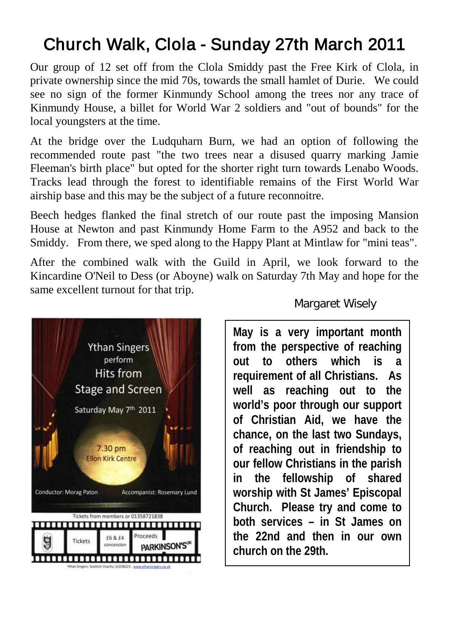# Church Walk, Clola - Sunday 27th March 2011

Our group of 12 set off from the Clola Smiddy past the Free Kirk of Clola, in private ownership since the mid 70s, towards the small hamlet of Durie. We could see no sign of the former Kinmundy School among the trees nor any trace of Kinmundy House, a billet for World War 2 soldiers and "out of bounds" for the local youngsters at the time.

At the bridge over the Ludquharn Burn, we had an option of following the recommended route past "the two trees near a disused quarry marking Jamie Fleeman's birth place" but opted for the shorter right turn towards Lenabo Woods. Tracks lead through the forest to identifiable remains of the First World War airship base and this may be the subject of a future reconnoitre.

Beech hedges flanked the final stretch of our route past the imposing Mansion House at Newton and past Kinmundy Home Farm to the A952 and back to the Smiddy. From there, we sped along to the Happy Plant at Mintlaw for "mini teas".

After the combined walk with the Guild in April, we look forward to the Kincardine O'Neil to Dess (or Aboyne) walk on Saturday 7th May and hope for the same excellent turnout for that trip.



#### Margaret Wisely

**May is a very important month from the perspective of reaching out to others which is a requirement of all Christians. As well as reaching out to the world's poor through our support of Christian Aid, we have the chance, on the last two Sundays, of reaching out in friendship to our fellow Christians in the parish in the fellowship of shared worship with St James' Episcopal Church. Please try and come to both services – in St James on the 22nd and then in our own church on the 29th.**